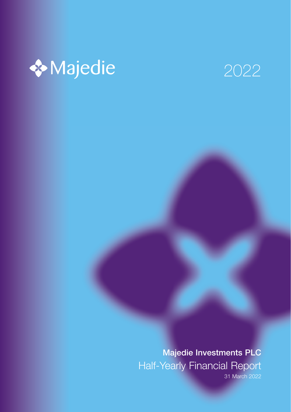



Majedie Investments PLC Half-Yearly Financial Report

31 March 2022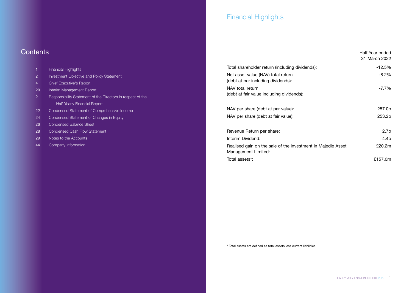## **Contents**

| 1              | <b>Financial Highlights</b>                                 |
|----------------|-------------------------------------------------------------|
| $\overline{2}$ | <b>Investment Objective and Policy Statement</b>            |
| $\overline{4}$ | <b>Chief Executive's Report</b>                             |
| 20             | Interim Management Report                                   |
| 21             | Responsibility Statement of the Directors in respect of the |
|                | Half-Yearly Financial Report                                |
| 22             | Condensed Statement of Comprehensive Income                 |
| 24             | Condensed Statement of Changes in Equity                    |
| 26             | <b>Condensed Balance Sheet</b>                              |
| 28             | <b>Condensed Cash Flow Statement</b>                        |
| 29             | Notes to the Accounts                                       |
| 44             | Company Information                                         |
|                |                                                             |
|                |                                                             |

## Financial Highlights

|                                                                                     | Half Year ended<br>31 March 2022 |
|-------------------------------------------------------------------------------------|----------------------------------|
| Total shareholder return (including dividends):                                     | -12.5%                           |
| Net asset value (NAV) total return<br>(debt at par including dividends):            | -8.2%                            |
| NAV total return                                                                    | -7.7%                            |
| (debt at fair value including dividends):                                           |                                  |
| NAV per share (debt at par value):                                                  | 257.0p                           |
| NAV per share (debt at fair value):                                                 | 253.2p                           |
| Revenue Return per share:                                                           | 2.7 <sub>p</sub>                 |
| Interim Dividend:                                                                   | 4.4p                             |
| Realised gain on the sale of the investment in Majedie Asset<br>Management Limited: | £20.2m                           |
| Total assets*:                                                                      | £157.0m                          |

\* Total assets are defined as total assets less current liabilities.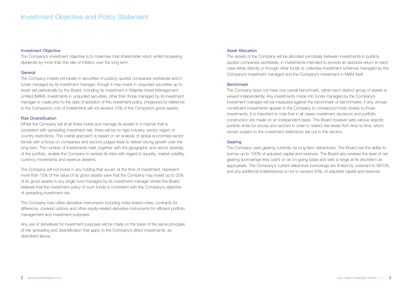#### Investment Objective

The Company's investment objective is to maximise total shareholder return whilst increasing dividends by more than the rate of inflation over the long term.

#### **General**

The Company invests principally in securities of publicly quoted companies worldwide and in funds managed by its investment manager, though it may invest in unquoted securities up to levels set periodically by the Board, including its investment in Majedie Asset Management Limited (MAM). Investments in unquoted securities, other than those managed by its investment manager or made prior to the date of adoption of this investment policy, (measured by reference to the Company's cost of investment) will not exceed 10% of the Company's gross assets.

#### Risk Diversification

Whilst the Company will at all times invest and manage its assets in a manner that is consistent with spreading investment risk, there will be no rigid industry, sector, region or country restrictions. The overall approach is based on an analysis of global economies sector trends with a focus on companies and sectors judged likely to deliver strong growth over the long term. The number of investments held, together with the geographic and sector diversity of the portfolio, enable the Company to spread its risks with regard to liquidity, market volatility, currency movements and revenue streams.

The Company will not invest in any holding that would, at the time of investment, represent more than 15% of the value of its gross assets save that the Company may invest up to 25% of its gross assets in any single fund managed by its investment manager where the Board believes that the investment policy of such funds is consistent with the Company's objective of spreading investment risk.

The Company may utilise derivative instruments including index-linked notes, contracts for difference, covered options and other equity-related derivative instruments for efficient portfolio management and investment purposes.

Any use of derivatives for investment purposes will be made on the basis of the same principles of risk spreading and diversification that apply to the Company's direct investments, as described above.

#### Asset Allocation

The assets of the Company will be allocated principally between investments in publicly quoted companies worldwide, in investments intended to provide an absolute return (in each case either directly or through other funds or collective investment schemes managed by the Company's investment manager) and the Company's investment in MAM itself.

#### Benchmark

The Company does not have one overall benchmark, rather each distinct group of assets is viewed independently. Any investments made into funds managed by the Company's investment manager will be measured against the benchmark or benchmarks, if any, whose constituent investments appear to the Company to correspond most closely to those investments. It is important to note that in all cases investment decisions and portfolio construction are made on an independent basis. The Board however sets various specific portfolio limits for stocks and sectors in order to restrict risk levels from time to time, which remain subject to the investment restrictions set out in this section.

#### **Gearing**

The Company uses gearing currently via long term debentures. The Board has the ability to borrow up to 100% of adjusted capital and reserves. The Board also reviews the level of net gearing (borrowings less cash) on an on-going basis and sets a range at its discretion as appropriate. The Company's current debenture borrowings are limited by covenant to 662/3%, and any additional indebtedness is not to exceed 20%, of adjusted capital and reserves.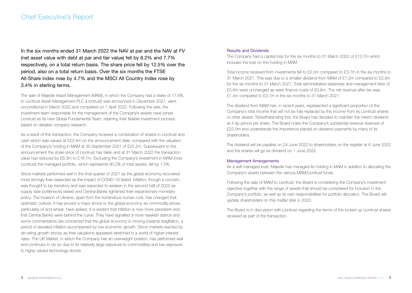In the six months ended 31 March 2022 the NAV at par and the NAV at FV (net asset value with debt at par and fair value) fell by 8.2% and 7.7% respectively, on a total return basis. The share price fell by 12.5% over the period, also on a total return basis. Over the six months the FTSE All-Share index rose by 4.7% and the MSCI All Country Index rose by 3.4% in sterling terms.

The sale of Majedie Asset Management (MAM), in which the Company had a stake of 17.6%, to Liontrust Asset Management PLC (Liontrust) was announced in December 2021, went unconditional in March 2022 and completed on 1 April 2022. Following the sale, the investment team responsible for the management of the Company's assets have joined Liontrust as its new Global Fundamental Team, retaining their flexible investment process based on detailed company research.

As a result of this transaction, the Company received a combination of shares in Liontrust and cash which was valued at £22.4m on the announcement date, compared with the valuation of the Company's holding in MAM at 30 September 2021 of £25.2m. Subsequent to the announcement the share price of Liontrust has fallen and at 31 March 2022 the transaction value had reduced by £6.3m to £16.1m. Excluding the Company's investment in MAM (now Liontrust) the managed portfolio, which represents 90.2% of total assets, fell by 1.5%.

Stock markets performed well in the final quarter of 2021 as the global economy recovered more strongly than expected as the impact of COVID-19 faded. Inflation, though a concern, was thought to be transitory and was expected to weaken in the second half of 2022 as supply side bottlenecks eased and Central Banks tightened their expansionary monetary policy. The invasion of Ukraine, apart from the horrendous human cost, has changed that optimistic outlook. It has proved a major shock to the global economy as commodity prices, particularly oil and wheat, have spiked. It is evident that inflation is now more persistent and that Central Banks were behind the curve. They have signalled a more hawkish stance and some commentators are concerned that the global economy is moving towards stagflation, a period of elevated inflation accompanied by low economic growth. Stock markets reacted by de-rating growth stocks as their valuations appeared stretched in a world of higher interest rates. The UK Market, in which the Company has an overweight position, has performed well and continues to do so due to its relatively large exposure to commodities and low exposure to highly valued technology stocks.

#### Results and Dividends

The Company had a capital loss for the six months to 31 March 2022 of £13.7m which includes the loss on the holding in MAM.

Total income received from investments fell to £2.0m compared to £3.7m in the six months to 31 March 2021. This was due to a smaller dividend from MAM of £1.2m compared to £2.8m for the six months to 31 March 2021. Total administrative expenses and management fees of £0.8m were unchanged as were finance costs of £0.8m. The net revenue after tax was £1.4m compared to £3.1m in the six months to 31 March 2021.

The dividend from MAM has, in recent years, represented a significant proportion of the Company's total income that will not be fully replaced by the income from its Liontrust shares or other assets. Notwithstanding this, the Board has decided to maintain the interim dividend at 4.4p pence per share. The Board notes the Company's substantial revenue reserves of £22.0m and understands the importance placed on dividend payments by many of its shareholders.

The dividend will be payable on 24 June 2022 to shareholders on the register at 6 June 2022 and the shares will go ex dividend on 1 June 2022.

#### Management Arrangements

As a self managed trust, Majedie has managed its holding in MAM in addition to allocating the Company's assets between the various MAM/Liontrust funds.

Following the sale of MAM to Liontrust, the Board is considering the Company's investment objective together with the range of assets that should be considered for inclusion in the Company's portfolio, as well as its own responsibilities for portfolio allocation. The Board will update shareholders on this matter later in 2022.

The Board is in discussion with Liontrust regarding the terms of the locked up Liontrust shares received as part of the transaction.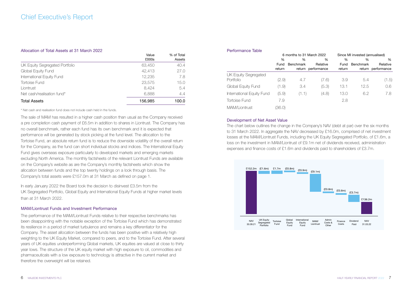#### Allocation of Total Assets at 31 March 2022

|                                | vaius<br>£000s | 70 UI IULAI<br>Assets |
|--------------------------------|----------------|-----------------------|
|                                |                | 40.4                  |
| UK Equity Segregated Portfolio | 63,450         |                       |
| Global Equity Fund             | 42.413         | 27.0                  |
| International Equity Fund      | 12.235         | 7.8                   |
| Tortoise Fund                  | 23,575         | 15.0                  |
| Liontrust                      | 8.424          | 5.4                   |
| Net cash/realisation fund*     | 6.888          | 4.4                   |
| <b>Total Assets</b>            | 156.985        | 100.0                 |

Value

 $0/1$  of Total

#### \* Net cash and realisation fund does not include cash held in the funds.

The sale of MAM has resulted in a higher cash position than usual as the Company received a pre completion cash payment of £6.5m in addition to shares in Liontrust. The Company has no overall benchmark, rather each fund has its own benchmark and it is expected that performance will be generated by stock picking at the fund level. The allocation to the Tortoise Fund, an absolute return fund is to reduce the downside volatility of the overall return for the Company, as the fund can short individual stocks and indices. The International Equity Fund gives overseas exposure particularly to developed markets and emerging markets excluding North America. The monthly factsheets of the relevant Liontrust Funds are available on the Company's website as are the Company's monthly factsheets which show the allocation between funds and the top twenty holdings on a look through basis. The Company's total assets were £157.0m at 31 March as defined on page 1.

In early January 2022 the Board took the decision to disinvest £3.5m from the UK Segregated Portfolio, Global Equity and International Equity Funds at higher market levels than at 31 March 2022.

#### MAM/Liontrust Funds and Investment Performance

The performance of the MAM/Liontrust Funds relative to their respective benchmarks has been disappointing with the notable exception of the Tortoise Fund which has demonstrated its resilience in a period of market turbulence and remains a key differentiator for the Company. The asset allocation between the funds has been positive with a relatively high weighting to the UK Equity Market, compared to peers, and to the Tortoise Fund. After several years of UK equities underperforming Global markets, UK equities are valued at close to thirty year lows. The structure of the UK equity market with high exposure to oil, commodities and pharmaceuticals with a low exposure to technology is attractive in the current market and therefore the overweight will be retained.

| Performance Table         |               |                           |                    |                                |                  |                    |  |
|---------------------------|---------------|---------------------------|--------------------|--------------------------------|------------------|--------------------|--|
|                           |               | 6 months to 31 March 2022 |                    | Since MI invested (annualised) |                  |                    |  |
|                           | $\frac{0}{0}$ | $\frac{0}{0}$             | $\frac{0}{0}$      | $\frac{0}{0}$                  | %                | %                  |  |
|                           | Fund          | Benchmark                 | Relative           | Fund                           | <b>Benchmark</b> | Relative           |  |
|                           | return        |                           | return performance | return                         |                  | return performance |  |
| UK Equity Segregated      |               |                           |                    |                                |                  |                    |  |
| Portfolio                 | (2.9)         | 4.7                       | (7.6)              | 3.9                            | 5.4              | (1.5)              |  |
| Global Equity Fund        | (1.9)         | $\mathcal{A}$             | (5.3)              | 13.1                           | 12.5             | 0.6                |  |
| International Equity Fund | (5.9)         | (1.1)                     | (4.8)              | 13.0                           | 6.2              | 7.8                |  |
| Tortoise Fund             | 7.9           |                           |                    | 2.8                            |                  |                    |  |
| MAM/Liontrust             | 36.O)         |                           |                    |                                |                  |                    |  |

#### Development of Net Asset Value

The chart below outlines the change in the Company's NAV (debt at par) over the six months to 31 March 2022. In aggregate the NAV decreased by £16.0m, comprised of net investment losses at the MAM/Liontrust Funds, including the UK Equity Segregated Portfolio, of £1.6m, a loss on the investment in MAM/Liontrust of £9.1m net of dividends received, administration expenses and finance costs of £1.6m and dividends paid to shareholders of £3.7m.

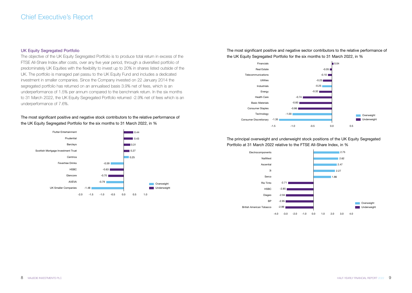#### UK Equity Segregated Portfolio

The objective of the UK Equity Segregated Portfolio is to produce total return in excess of the FTSE All-Share Index after costs, over any five year period, through a diversified portfolio of predominately UK Equities with the flexibility to invest up to 20% in shares listed outside of the UK. The portfolio is managed pari passu to the UK Equity Fund and includes a dedicated investment in smaller companies. Since the Company invested on 22 January 2014 the segregated portfolio has returned on an annualised basis 3.9% net of fees, which is an underperformance of 1.5% per annum compared to the benchmark return. In the six months to 31 March 2022, the UK Foulty Segregated Portfolio returned -2.9% net of fees which is an underperformance of 7.6%.

The most significant positive and negative stock contributors to the relative performance of the UK Equity Segregated Portfolio for the six months to 31 March 2022, in %



The most significant positive and negative sector contributors to the relative performance of the UK Equity Segregated Portfolio for the six months to 31 March 2022, in %



The principal overweight and underweight stock positions of the UK Equity Segregated Portfolio at 31 March 2022 relative to the FTSE All-Share Index, in %

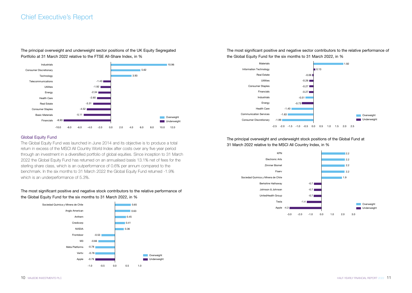## Chief Executive's Report

The principal overweight and underweight sector positions of the UK Equity Segregated Portfolio at 31 March 2022 relative to the FTSE All-Share Index, in %



#### Global Equity Fund

The Global Equity Fund was launched in June 2014 and its objective is to produce a total return in excess of the MSCI All Country World Index after costs over any five year period through an investment in a diversified portfolio of global equities. Since inception to 31 March 2022 the Global Equity Fund has returned on an annualised basis 13.1% net of fees for the sterling share class, which is an outperformance of 0.6% per annum compared to the benchmark. In the six months to 31 March 2022 the Global Equity Fund returned -1.9% which is an underperformance of 5.3%.

#### The most significant positive and negative stock contributors to the relative performance of the Global Equity Fund for the six months to 31 March 2022, in %



The most significant positive and negative sector contributors to the relative performance of the Global Equity Fund for the six months to 31 March 2022, in %



The principal overweight and underweight stock positions of the Global Fund at 31 March 2022 relative to the MSCI All Country Index, in %

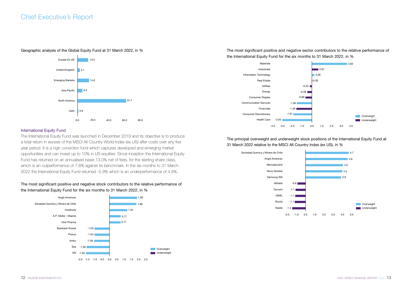#### Geographic analysis of the Global Equity Fund at 31 March 2022, in %



#### **International Equity Fund**

The International Equity Fund was launched in December 2019 and its objective is to produce a total return in excess of the MSCI All Country World Index (ex US) after costs over any five year period. It is a high conviction fund which captures developed and emerging market opportunities and can invest up to 10% in US equities. Since inception the International Equity Fund has returned on an annualised basis 13.0% net of fees, for the sterling share class, which is an outperformance of 7.8% against its benchmark. In the six months to 31 March 2022 the International Equity Fund returned -5.9% which is an underperformance of 4.8%.

#### The most significant positive and negative stock contributors to the relative performance of the International Equity Fund for the six months to 31 March 2022, in %



The most significant positive and negative sector contributors to the relative performance of the International Equity Fund for the six months to 31 March 2022, in %



The principal overweight and underweight stock positions of the International Equity Fund at 31 March 2022 relative to the MSCI All Country Index (ex US), in %

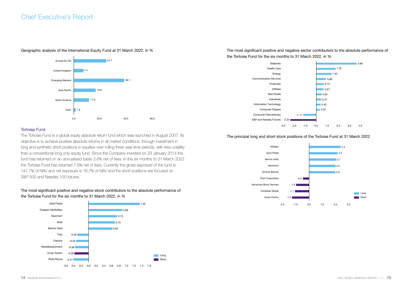#### Geographic analysis of the International Equity Fund at 31 March 2022, in %



#### Tortoise Fund

The Tortoise Fund is a global equity absolute return fund which was launched in August 2007. Its objective is to achieve positive absolute returns in all market conditions, through investment in long and synthetic short positions in equities over rolling three year time periods, with less volatility than a conventional long only equity fund. Since the Company invested on 29 January 2014 the fund has returned on an annualised basis 2.8% net of fees. In the six months to 31 March 2022 the Tortoise Fund has returned 7.9% net of fees. Currently the gross exposure of the fund is 147.7% of NAV and net exposure is 18.7% of NAV and the short positions are focused on S&P 500 and Nasdaq 100 futures.

#### The most significant positive and negative stock contributors to the absolute performance of the Tortoise Fund for the six months to 31 March 2022, in %



The most significant positive and negative sector contributors to the absolute performance of the Tortoise Fund for the six months to 31 March 2022, in %



#### The principal long and short stock positions of the Tortoise Fund at 31 March 2022

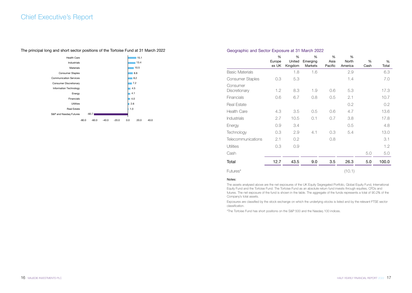## Chief Executive's Report



#### The principal long and short sector positions of the Tortoise Fund at 31 March 2022

#### Geographic and Sector Exposure at 31 March 2022

|                           | %      | %       | $\frac{0}{0}$ | %       | %       |      |       |
|---------------------------|--------|---------|---------------|---------|---------|------|-------|
|                           | Europe | United  | Emerging      | Asia    | North   | %    | %     |
|                           | ex UK  | Kingdom | Markets       | Pacific | America | Cash | Total |
| <b>Basic Materials</b>    |        | 1.8     | 1.6           |         | 2.9     |      | 6.3   |
| Consumer Staples          | 0.3    | 5.3     |               |         | 1.4     |      | 7.0   |
| Consumer<br>Discretionary | 1.2    | 8.3     | 1.9           | 0.6     | 5.3     |      | 17.3  |
| Financials                | 0.6    | 6.7     | 0.8           | 0.5     | 2.1     |      | 10.7  |
| Real Estate               |        |         |               |         | 0.2     |      | 0.2   |
| <b>Health Care</b>        | 4.3    | 3.5     | 0.5           | 0.6     | 4.7     |      | 13.6  |
| <b>Industrials</b>        | 2.7    | 10.5    | 0.1           | 0.7     | 3.8     |      | 17.8  |
| Energy                    | 0.9    | 3.4     |               |         | 0.5     |      | 4.8   |
| Technology                | 0.3    | 2.9     | 4.1           | 0.3     | 5.4     |      | 13.0  |
| Telecommunications        | 2.1    | 0.2     |               | 0.8     |         |      | 3.1   |
| <b>Utilities</b>          | 0.3    | 0.9     |               |         |         |      | 1.2   |
| Cash                      |        |         |               |         |         | 5.0  | 5.0   |
| Total                     | 12.7   | 43.5    | 9.0           | 3.5     | 26.3    | 5.0  | 100.0 |
| Futures*                  |        |         |               |         | (10.1)  |      |       |

#### Notes:

The assets analysed above are the net exposures of the UK Equity Segregated Portfolio, Global Equity Fund, International Equity Fund and the Tortoise Fund. The Tortoise Fund as an absolute return fund invests through equities, CFDs and futures. The net exposure of the fund is shown in the table. The aggregate of the funds represents a total of 90.2% of the Company's total assets.

Exposures are classified by the stock exchange on which the underlying stocks is listed and by the relevant FTSE sector classification.

\*The Tortoise Fund has short positions on the S&P 500 and the Nasdaq 100 indices.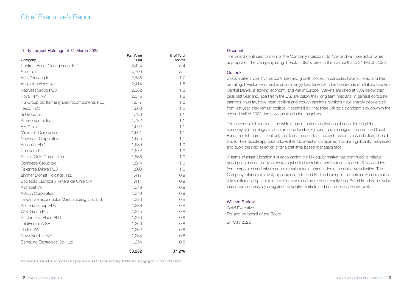## Chief Executive's Report

#### Thirty Largest Holdings at 31 March 2022

| Company                                       | Fair Value<br>£000 | % of Total<br>Assets |
|-----------------------------------------------|--------------------|----------------------|
| Liontrust Asset Management PLC                | 8,424              | 5.4                  |
| Shell plc                                     | 4,799              | 3.1                  |
| AstraZeneca plc                               | 2,636              | 1.7                  |
| Anglo American plc                            | 2,414              | 1.5                  |
| NatWest Group PLC                             | 2,082              | 1.3                  |
| Royal KPN NV                                  | 2,075              | 1.3                  |
| RS Group plc (formerly Electrocomponents PLC) | 1,877              | 1.2                  |
| Tesco PLC                                     | 1,863              | 1.2                  |
| 3i Group plc                                  | 1,786              | 1.1                  |
| Amazon.com, Inc.                              | 1,782              | 1.1                  |
| <b>RELX plc</b>                               | 1,692              | 1.1                  |
| Microsoft Corporation                         | 1,661              | 1.1                  |
| Newmont Corporation                           | 1,655              | 1.1                  |
| <b>Ascential PLC</b>                          | 1,639              | 1.0                  |
| Unilever plc                                  | 1,572              | 1.0                  |
| <b>Barrick Gold Corporation</b>               | 1,556              | 1.0                  |
| Compass Group plc                             | 1,544              | 1.0                  |
| Fevertree Drinks PI C                         | 1,500              | 1.0                  |
| Zimmer Biomet Holdings, Inc.                  | 1,417              | 0.9                  |
| Sociedad Quimica y Minera de Chile S.A        | 1,411              | 0.9                  |
| Alphabet Inc.                                 | 1,349              | 0.9                  |
| NVIDIA Corporation                            | 1,349              | 0.9                  |
| Taiwan Semiconductor Manufacturing Co., Ltd.  | 1,330              | 0.8                  |
| Ashtead Group PLC                             | 1,288              | 0.8                  |
| Weir Group PLC                                | 1,275              | 0.8                  |
| St. James's Place PLC                         | 1,270              | 0.8                  |
| <b>TotalEnergies SE</b>                       | 1,266              | 0.8                  |
| Thales SA                                     | 1,262              | 0.8                  |
| Novo Nordisk A/S                              | 1,254              | 0.8                  |
| Samsung Electronics Co., Ltd.                 | 1,254              | 0.8                  |
|                                               | 58,282             | 37.2%                |

The Tortoise Fund holds two short futures positions in S&P5OO and Nasdaq 100 that are, in aggregate, 9.1% of total assets.

#### **Discount**

The Board continues to monitor the Company's discount to NAV and will take action when appropriate. The Company bought back 7,092 shares in the six months to 31 March 2022.

#### **Outlook**

Stock markets volatility has continued and growth stocks, in particular, have suffered a further de-rating. Investor sentiment is unsurprisingly low, faced with the headwinds of inflation, hawkish Central Banks, a slowing economy and war in Europe. Markets are rated at 30% below their peak last year and, apart from the US, are below their long term medians. In general corporate earnings, thus far, have been resilient and though earnings revisions have sharply decelerated from last year, they remain positive. It seems likely that there will be a significant slowdown in the second half of 2022, the only question is the magnitude.

The current volatility reflects the wide range of outcomes that could occur for the global economy and earnings. In such an uncertain background fund managers such as the Global Fundamental Team at Liontrust, that focus on detailed, research based stock selection, should thrive. Their flexible approach allows them to invest in companies that are significantly mis-priced and avoid the rigid selection criteria that style based managers face.

In terms of asset allocation it is encouraging the UK equity market has continued its relative good performance as investors recognise its low relative and historic valuation. Takeover bids from corporates and private equity remain a feature and validate the attractive valuation. The Company retains a relatively high exposure to the UK. The holding in the Tortoise Fund remains a key differentiating factor for the Company and as a Global Equity Long/Short Fund with a value bias it has successfully navigated the volatile markets and continues to perform well.

William Barlow

Chief Executive For and on behalf of the Board

24 May 2022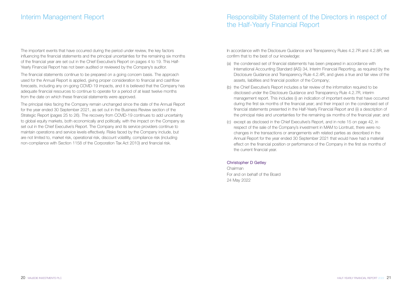## Interim Management Report

The important events that have occurred during the period under review, the key factors influencing the financial statements and the principal uncertainties for the remaining six months of the financial year are set out in the Chief Executive's Report on pages 4 to 19. This Half-Yearly Financial Report has not been audited or reviewed by the Company's auditor.

The financial statements continue to be prepared on a going concern basis. The approach used for the Annual Report is applied, giving proper consideration to financial and cashflow forecasts, including any on-going COVID-19 impacts, and it is believed that the Company has adequate financial resources to continue to operate for a period of at least twelve months from the date on which these financial statements were approved.

The principal risks facing the Company remain unchanged since the date of the Annual Report for the year ended 30 September 2021, as set out in the Business Review section of the Strategic Report (pages 25 to 26). The recovery from COVID-19 continues to add uncertainty to global equity markets, both economically and politically, with the impact on the Company as set out in the Chief Executive's Report. The Company and its service providers continue to maintain operations and service levels effectively. Risks faced by the Company include, but are not limited to, market risk, operational risk, discount volatility, compliance risk (including non-compliance with Section 1158 of the Corporation Tax Act 2010) and financial risk.

## Responsibility Statement of the Directors in respect of the Half-Yearly Financial Report

In accordance with the Disclosure Guidance and Transparency Rules 4.2.7R and 4.2.8R, we confirm that to the best of our knowledge:

- (a) the condensed set of financial statements has been prepared in accordance with International Accounting Standard (IAS) 34, Interim Financial Reporting, as required by the Disclosure Guidance and Transparency Rule 4.2.4R, and gives a true and fair view of the assets, liabilities and financial position of the Company;
- (b) the Chief Executive's Report includes a fair review of the information required to be disclosed under the Disclosure Guidance and Transparency Rule 4.2.7R, interim management report. This includes (i) an indication of important events that have occurred during the first six months of the financial year; and their impact on the condensed set of financial statements presented in the Half-Yearly Financial Report and (ii) a description of the principal risks and uncertainties for the remaining six months of the financial year; and
- (c) except as disclosed in the Chief Executive's Report, and in note 15 on page 42, in respect of the sale of the Company's investment in MAM to Liontrust, there were no changes in the transactions or arrangements with related parties as described in the Annual Report for the year ended 30 September 2021 that would have had a material effect on the financial position or performance of the Company in the first six months of the current financial year.

#### Christopher D Getley

Chairman For and on behalf of the Board 24 May 2022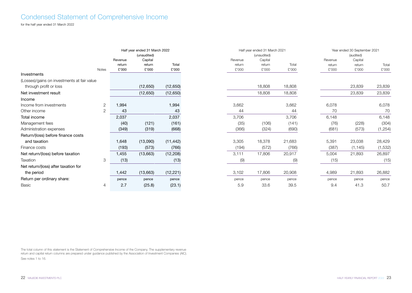## Condensed Statement of Comprehensive Income

for the half year ended 31 March 2022

|                                             |                |         | Half year ended 31 March 2022 |           |         | Half year ended 31 March 2021 |        |         | Year ended 30 September 2021 |          |
|---------------------------------------------|----------------|---------|-------------------------------|-----------|---------|-------------------------------|--------|---------|------------------------------|----------|
|                                             |                |         | (unaudited)                   |           |         | (unaudited)                   |        |         | (audited)                    |          |
|                                             |                | Revenue | Capital                       |           | Revenue | Capital                       |        | Revenue | Capital                      |          |
|                                             |                | return  | return                        | Total     | return  | return                        | Total  | return  | return                       | Total    |
|                                             | <b>Notes</b>   | £'000   | £'000                         | £'000     | £'000   | £'000                         | £'000  | £'000   | £'000                        | £'000    |
| Investments                                 |                |         |                               |           |         |                               |        |         |                              |          |
| (Losses)/gains on investments at fair value |                |         |                               |           |         |                               |        |         |                              |          |
| through profit or loss                      |                |         | (12, 650)                     | (12, 650) |         | 18,808                        | 18,808 |         | 23,839                       | 23,839   |
| Net investment result                       |                |         | (12, 650)                     | (12, 650) |         | 18,808                        | 18,808 |         | 23,839                       | 23,839   |
| Income                                      |                |         |                               |           |         |                               |        |         |                              |          |
| Income from investments                     | $\overline{2}$ | 1,994   |                               | 1,994     | 3,662   |                               | 3,662  | 6,078   |                              | 6,078    |
| Other income                                | $\overline{2}$ | 43      |                               | 43        | 44      |                               | 44     | 70      |                              | 70       |
| Total income                                |                | 2,037   |                               | 2,037     | 3,706   |                               | 3,706  | 6,148   |                              | 6,148    |
| Management fees                             |                | (40)    | (121)                         | (161)     | (35)    | (106)                         | (141)  | (76)    | (228)                        | (304)    |
| Administration expenses                     |                | (349)   | (319)                         | (668)     | (366)   | (324)                         | (690)  | (681)   | (573)                        | (1, 254) |
| Return/(loss) before finance costs          |                |         |                               |           |         |                               |        |         |                              |          |
| and taxation                                |                | 1,648   | (13,090)                      | (11, 442) | 3,305   | 18,378                        | 21,683 | 5,391   | 23,038                       | 28,429   |
| Finance costs                               |                | (193)   | (573)                         | (766)     | (194)   | (572)                         | (766)  | (387)   | (1, 145)                     | (1, 532) |
| Net return/(loss) before taxation           |                | 1,455   | (13,663)                      | (12, 208) | 3,111   | 17,806                        | 20,917 | 5,004   | 21,893                       | 26,897   |
| Taxation                                    | 3              | (13)    |                               | (13)      | (9)     |                               | (9)    | (15)    |                              | (15)     |
| Net return/(loss) after taxation for        |                |         |                               |           |         |                               |        |         |                              |          |
| the period                                  |                | 1,442   | (13,663)                      | (12, 221) | 3,102   | 17,806                        | 20,908 | 4,989   | 21,893                       | 26,882   |
| Return per ordinary share:                  |                | pence   | pence                         | pence     | pence   | pence                         | pence  | pence   | pence                        | pence    |
| <b>Basic</b>                                | 4              | 2.7     | (25.8)                        | (23.1)    | 5.9     | 33.6                          | 39.5   | 9.4     | 41.3                         | 50.7     |

The total column of this statement is the Statement of Comprehensive Income of the Company. The supplementary revenue return and capital return columns are prepared under guidance published by the Association of Investment Companies (AIC). See notes 1 to 16.

0 September 2021 udited) Capital return £'000 Total £'000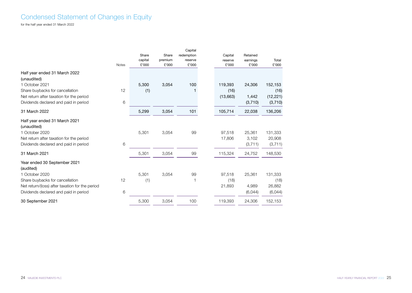## Condensed Statement of Changes in Equity

for the half year ended 31 March 2022

|                                                 |              | Share            | Share            | Capital<br>redemption | Capital          | Retained          |                |
|-------------------------------------------------|--------------|------------------|------------------|-----------------------|------------------|-------------------|----------------|
|                                                 | <b>Notes</b> | capital<br>£'000 | premium<br>£'000 | reserve<br>£'000      | reserve<br>£'000 | earnings<br>£'000 | Total<br>£'000 |
|                                                 |              |                  |                  |                       |                  |                   |                |
| Half year ended 31 March 2022                   |              |                  |                  |                       |                  |                   |                |
| (unaudited)                                     |              |                  |                  |                       |                  |                   |                |
| 1 October 2021                                  |              | 5,300            | 3,054            | 100                   | 119,393          | 24,306            | 152,153        |
| Share buybacks for cancellation                 | 12           | (1)              |                  |                       | (16)             |                   | (16)           |
| Net return after taxation for the period        |              |                  |                  |                       | (13,663)         | 1,442             | (12, 221)      |
| Dividends declared and paid in period           | 6            |                  |                  |                       |                  | (3,710)           | (3,710)        |
| 31 March 2022                                   |              | 5,299            | 3,054            | 101                   | 105,714          | 22,038            | 136,206        |
| Half year ended 31 March 2021<br>(unaudited)    |              |                  |                  |                       |                  |                   |                |
| 1 October 2020                                  |              | 5,301            | 3,054            | 99                    | 97,518           | 25,361            | 131,333        |
| Net return after taxation for the period        |              |                  |                  |                       | 17,806           | 3,102             | 20,908         |
| Dividends declared and paid in period           | 6            |                  |                  |                       |                  | (3,711)           | (3,711)        |
| 31 March 2021                                   |              | 5,301            | 3,054            | 99                    | 115,324          | 24,752            | 148,530        |
| Year ended 30 September 2021<br>(audited)       |              |                  |                  |                       |                  |                   |                |
| 1 October 2020                                  |              | 5,301            | 3,054            | 99                    | 97,518           | 25,361            | 131,333        |
| Share buybacks for cancellation                 | 12           | (1)              |                  |                       | (18)             |                   | (18)           |
| Net return/(loss) after taxation for the period |              |                  |                  |                       | 21,893           | 4,989             | 26,882         |
| Dividends declared and paid in period           | 6            |                  |                  |                       |                  | (6,044)           | (6,044)        |
| 30 September 2021                               |              | 5,300            | 3,054            | 100                   | 119,393          | 24,306            | 152,153        |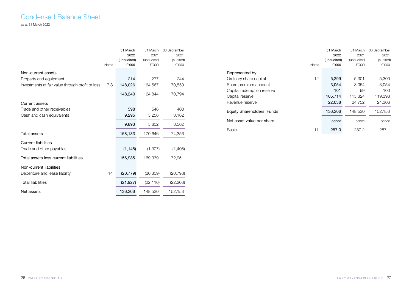### Condensed Balance Sheet as at 31 March 2022

|                                                  |              | 31 March    | 31 March    | 30 September |
|--------------------------------------------------|--------------|-------------|-------------|--------------|
|                                                  |              | 2022        | 2021        | 2021         |
|                                                  |              | (unaudited) | (unaudited) | (audited)    |
|                                                  | <b>Notes</b> | £'000       | £'000       | £'000        |
| Non-current assets                               |              |             |             |              |
| Property and equipment                           |              | 214         | 277         | 244          |
| Investments at fair value through profit or loss | 7,8          | 148,026     | 164,567     | 170,550      |
|                                                  |              | 148,240     | 164,844     | 170,794      |
| Current assets                                   |              |             |             |              |
| Trade and other receivables                      |              | 598         | 546         | 400          |
| Cash and cash equivalents                        |              | 9,295       | 5,256       | 3,162        |
|                                                  |              | 9,893       | 5,802       | 3,562        |
| Total assets                                     |              | 158,133     | 170,646     | 174,356      |
| <b>Current liabilities</b>                       |              |             |             |              |
| Trade and other payables                         |              | (1, 148)    | (1, 307)    | (1,405)      |
| Total assets less current liabilities            |              | 156,985     | 169,339     | 172,951      |
| Non-current liabilities                          |              |             |             |              |
| Debenture and lease liability                    | 14           | (20, 779)   | (20, 809)   | (20, 798)    |
| Total liabilities                                |              | (21, 927)   | (22, 116)   | (22, 203)    |
| Net assets                                       |              | 136,206     | 148,530     | 152,153      |

|                            |              | 31 March    | 31 March    | 30 September |
|----------------------------|--------------|-------------|-------------|--------------|
|                            |              | 2022        | 2021        | 2021         |
|                            |              | (unaudited) | (unaudited) | (audited)    |
|                            | <b>Notes</b> | £'000       | £'000       | £'000        |
| Represented by:            |              |             |             |              |
| Ordinary share capital     | 12           | 5,299       | 5,301       | 5,300        |
| Share premium account      |              | 3,054       | 3,054       | 3,054        |
| Capital redemption reserve |              | 101         | 99          | 100          |
| Capital reserve            |              | 105,714     | 115,324     | 119,393      |
| Revenue reserve            |              | 22,038      | 24.752      | 24,306       |
| Equity Shareholders' Funds |              | 136,206     | 148.530     | 152,153      |
| Net asset value per share  |              | pence       | pence       | pence        |
| Basic                      | 11           | 257.0       | 280.2       | 287.1        |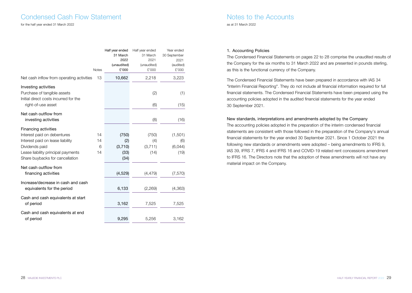### Condensed Cash Flow Statement

#### for the half year ended 31 March 2022

|                                                                                                                                                                                           | Notes               | Half year ended<br>31 March<br>2022<br>(unaudited)<br>£'000 | Half year ended<br>31 March<br>2021<br>(unaudited)<br>£'000 | Year ended<br>30 September<br>2021<br>(audited)<br>£'000 |
|-------------------------------------------------------------------------------------------------------------------------------------------------------------------------------------------|---------------------|-------------------------------------------------------------|-------------------------------------------------------------|----------------------------------------------------------|
| Net cash inflow from operating activities                                                                                                                                                 | 13                  | 10,662                                                      | 2,218                                                       | 3,223                                                    |
| Investing activities<br>Purchase of tangible assets<br>Initial direct costs incurred for the<br>right-of-use asset                                                                        |                     |                                                             | (2)<br>(6)                                                  | (1)<br>(15)                                              |
| Net cash outflow from<br>investing activities                                                                                                                                             |                     |                                                             | (8)                                                         | (16)                                                     |
| <b>Financing activities</b><br>Interest paid on debentures<br>Interest paid on lease liability<br>Dividends paid<br>Lease liability principal payments<br>Share buybacks for cancellation | 14<br>14<br>6<br>14 | (750)<br>(2)<br>(3,710)<br>(33)<br>(34)                     | (750)<br>(4)<br>(3,711)<br>(14)                             | (1,501)<br>(6)<br>(6,044)<br>(19)                        |
| Net cash outflow from<br>financing activities                                                                                                                                             |                     | (4,529)                                                     | (4, 479)                                                    | (7, 570)                                                 |
| Increase/decrease in cash and cash<br>equivalents for the period                                                                                                                          |                     | 6,133                                                       | (2,269)                                                     | (4,363)                                                  |
| Cash and cash equivalents at start<br>of period                                                                                                                                           |                     | 3,162                                                       | 7,525                                                       | 7,525                                                    |
| Cash and cash equivalents at end<br>of period                                                                                                                                             |                     | 9,295                                                       | 5,256                                                       | 3,162                                                    |

### Notes to the Accounts as at 31 March 2022

#### 1. Accounting Policies

The Condensed Financial Statements on pages 22 to 28 comprise the unaudited results of the Company for the six months to 31 March 2022 and are presented in pounds sterling, as this is the functional currency of the Company.

The Condensed Financial Statements have been prepared in accordance with IAS 34 "Interim Financial Reporting". They do not include all financial information required for full financial statements. The Condensed Financial Statements have been prepared using the accounting policies adopted in the audited financial statements for the year ended 30 September 2021.

#### New standards, interpretations and amendments adopted by the Company

The accounting policies adopted in the preparation of the interim condensed financial statements are consistent with those followed in the preparation of the Company's annual financial statements for the year ended 30 September 2021. Since 1 October 2021 the following new standards or amendments were adopted – being amendments to IFRS 9, IAS 39, IFRS 7, IFRS 4 and IFRS 16 and COVID-19 related rent concessions amendment to IFRS 16. The Directors note that the adoption of these amendments will not have any material impact on the Company.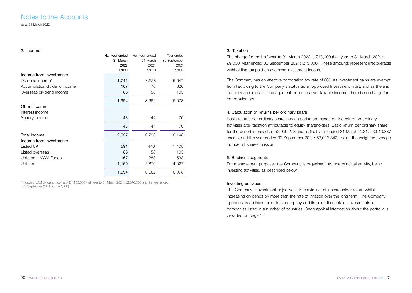### Notes to the Accounts as at 31 March 2022

#### 2. Income

|                              | Half year ended | Half year ended | Year ended   |
|------------------------------|-----------------|-----------------|--------------|
|                              | 31 March        | 31 March        | 30 September |
|                              | 2022            | 2021            | 2021         |
|                              | £'000           | £'000           | £'000        |
| Income from investments      |                 |                 |              |
| Dividend income*             | 1,741           | 3,528           | 5,647        |
| Accumulation dividend income | 167             | 76              | 326          |
| Overseas dividend income     | 86              | 58              | 105          |
|                              | 1,994           | 3,662           | 6,078        |
| Other income                 |                 |                 |              |
| Interest income              |                 |                 |              |
| Sundry income                | 43              | 44              | 70           |
|                              | 43              | 44              | 70           |
| Total income                 | 2,037           | 3,706           | 6,148        |
| Income from investments      |                 |                 |              |
| Listed UK                    | 591             | 440             | 1,408        |
| Listed overseas              | 86              | 58              | 105          |
| Unlisted - MAM Funds         | 167             | 288             | 538          |
| Unlisted                     | 1,150           | 2,876           | 4,027        |
|                              | 1,994           | 3,662           | 6,078        |

\* Includes MAM dividend income of £1,150,000 (half year to 31 March 2021: £2,876,000 and the year ended 30 September 2021: £4,027,000).

#### 3. Taxation

The charge for the half year to 31 March 2022 is £13,000 (half year to 31 March 2021: £9,000; year ended 30 September 2021: £15,000). These amounts represent irrecoverable withholding tax paid on overseas investment income.

The Company has an effective corporation tax rate of 0%. As investment gains are exempt from tax owing to the Company's status as an approved Investment Trust, and as there is currently an excess of management expenses over taxable income, there is no charge for corporation tax.

#### 4. Calculation of returns per ordinary share

Basic returns per ordinary share in each period are based on the return on ordinary activities after taxation attributable to equity shareholders. Basic return per ordinary share for the period is based on 52,999,278 shares (half year ended 31 March 2021: 53,013,887 shares, and the year ended 30 September 2021: 53,013,842), being the weighted average number of shares in issue.

#### 5. Business segments

For management purposes the Company is organised into one principal activity, being investing activities, as described below:

#### Investing activities

The Company's investment objective is to maximise total shareholder return whilst increasing dividends by more than the rate of inflation over the long term. The Company operates as an investment trust company and its portfolio contains investments in companies listed in a number of countries. Geographical information about the portfolio is provided on page 17.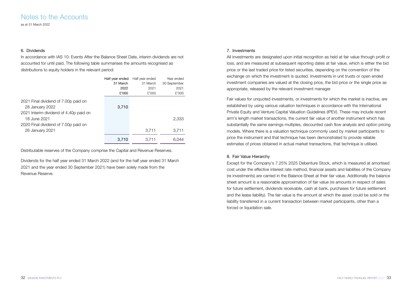as at 31 March 2022

#### 6. Dividends

In accordance with IAS 10: Events After the Balance Sheet Date, interim dividends are not accounted for until paid. The following table summarises the amounts recognised as distributions to equity holders in the relevant period:

|                                        | Half year ended | Half year ended | Year ended   |
|----------------------------------------|-----------------|-----------------|--------------|
|                                        | 31 March        | 31 March        | 30 September |
|                                        | 2022            | 2021            | 2021         |
|                                        | £'000           | £'000           | £'000        |
| 2021 Final dividend of 7.00p paid on   |                 |                 |              |
| 28 January 2022                        | 3,710           |                 |              |
| 2021 Interim dividend of 4.40p paid on |                 |                 |              |
| 18 June 2021                           |                 |                 | 2,333        |
| 2020 Final dividend of 7.00p paid on   |                 |                 |              |
| 26 January 2021                        |                 | 3.711           | 3,711        |
|                                        | 3,710           | 3.711           | 6.044        |

Distributable reserves of the Company comprise the Capital and Revenue Reserves.

Dividends for the half year ended 31 March 2022 (and for the half year ended 31 March 2021 and the year ended 30 September 2021) have been solely made from the Revenue Reserve.

#### 7. Investments

All investments are designated upon initial recognition as held at fair value through profit or loss, and are measured at subsequent reporting dates at fair value, which is either the bid price or the last traded price for listed securities, depending on the convention of the exchange on which the investment is quoted. Investments in unit trusts or open ended investment companies are valued at the closing price, the bid price or the single price as appropriate, released by the relevant investment manager.

Fair values for unquoted investments, or investments for which the market is inactive, are established by using various valuation techniques in accordance with the International Private Equity and Venture Capital Valuation Guidelines (IPEV). These may include recent arm's length market transactions, the current fair value of another instrument which has substantially the same earnings multiples, discounted cash flow analysis and option pricing models. Where there is a valuation technique commonly used by market participants to price the instrument and that technique has been demonstrated to provide reliable estimates of prices obtained in actual market transactions, that technique is utilised.

#### 8. Fair Value Hierarchy

Except for the Company's 7.25% 2025 Debenture Stock, which is measured at amortised cost under the effective interest rate method, financial assets and liabilities of the Company (re investments) are carried in the Balance Sheet at their fair value. Additionally the balance sheet amount is a reasonable approximation of fair value (re amounts in respect of sales for future settlement, dividends receivable, cash at bank, purchases for future settlement and the lease liability). The fair value is the amount at which the asset could be sold or the liability transferred in a current transaction between market participants, other than a forced or liquidation sale.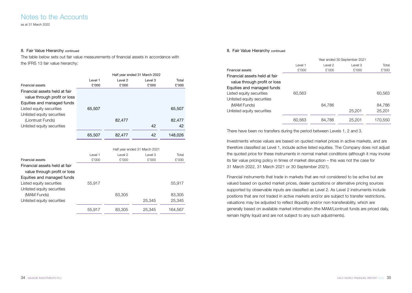as at 31 March 2022

#### 8. Fair Value Hierarchy continued

The table below sets out fair value measurements of financial assets in accordance with the IFRS 13 fair value hierarchy:

|                               | Half year ended 31 March 2022 |                    |                               |         |
|-------------------------------|-------------------------------|--------------------|-------------------------------|---------|
|                               | Level 1                       | Level <sub>2</sub> | Level 3                       | Total   |
| <b>Financial assets</b>       | £'000                         | £'000              | £'000                         | £'000   |
| Financial assets held at fair |                               |                    |                               |         |
| value through profit or loss  |                               |                    |                               |         |
| Equities and managed funds    |                               |                    |                               |         |
| Listed equity securities      | 65,507                        |                    |                               | 65,507  |
| Unlisted equity securities    |                               |                    |                               |         |
| (Liontrust Funds)             |                               | 82,477             |                               | 82,477  |
| Unlisted equity securities    |                               |                    | 42                            | 42      |
|                               | 65,507                        | 82,477             | 42                            | 148,026 |
|                               |                               |                    |                               |         |
|                               |                               |                    | Half year ended 31 March 2021 |         |
|                               | Level 1                       | Level 2            | Level 3                       | Total   |
| <b>Financial assets</b>       | £'000                         | £'000              | £'000                         | £'000   |
| Financial assets held at fair |                               |                    |                               |         |
| value through profit or loss  |                               |                    |                               |         |
| Equities and managed funds    |                               |                    |                               |         |
| Listed equity securities      | 55,917                        |                    |                               | 55,917  |
| Unlisted equity securities    |                               |                    |                               |         |
| (MAM Funds)                   |                               | 83,305             |                               | 83,305  |
|                               |                               |                    | 25,345                        | 25,345  |
| Unlisted equity securities    |                               |                    |                               |         |

55,917 83,305 25,345 164,567

#### 8. Fair Value Hierarchy continued

|                               | Year ended 30 September 2021 |         |         |         |
|-------------------------------|------------------------------|---------|---------|---------|
|                               | Level 1                      | Level 2 | Level 3 | Total   |
| <b>Financial assets</b>       | £'000                        | £'000   | £'000   | £'000   |
| Financial assets held at fair |                              |         |         |         |
| value through profit or loss  |                              |         |         |         |
| Equities and managed funds    |                              |         |         |         |
| Listed equity securities      | 60.563                       |         |         | 60.563  |
| Unlisted equity securities    |                              |         |         |         |
| (MAM Funds)                   |                              | 84,786  |         | 84.786  |
| Unlisted equity securities    |                              |         | 25,201  | 25,201  |
|                               | 60,563                       | 84,786  | 25,201  | 170,550 |

There have been no transfers during the period between Levels 1, 2 and 3.

Investments whose values are based on quoted market prices in active markets, and are therefore classified as Level 1, include active listed equities. The Company does not adjust the quoted price for these instruments in normal market conditions (although it may invoke its fair value pricing policy in times of market disruption – this was not the case for 31 March 2022, 31 March 2021 or 30 September 2021).

Financial instruments that trade in markets that are not considered to be active but are valued based on quoted market prices, dealer quotations or alternative pricing sources supported by observable inputs are classified as Level 2. As Level 2 instruments include positions that are not traded in active markets and/or are subject to transfer restrictions, valuations may be adjusted to reflect illiquidity and/or non-transferability, which are generally based on available market information (the MAM/Liontrust funds are priced daily, remain highly liquid and are not subject to any such adjustments).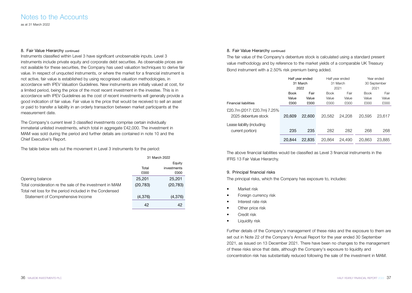as at 31 March 2022

#### 8. Fair Value Hierarchy continued

Instruments classified within Level 3 have significant unobservable inputs. Level 3 instruments include private equity and corporate debt securities. As observable prices are not available for these securities, the Company has used valuation techniques to derive fair value. In respect of unquoted instruments, or where the market for a financial instrument is not active, fair value is established by using recognised valuation methodologies, in accordance with IPEV Valuation Guidelines. New instruments are initially valued at cost, for a limited period, being the price of the most recent investment in the investee. This is in accordance with IPEV Guidelines as the cost of recent investments will generally provide a good indication of fair value. Fair value is the price that would be received to sell an asset or paid to transfer a liability in an orderly transaction between market participants at the measurement date.

The Company's current level 3 classified investments comprise certain individually immaterial unlisted investments, which total in aggregate £42,000. The investment in MAM was sold during the period and further details are contained in note 10 and the Chief Executive's Report.

The table below sets out the movement in Level 3 instruments for the period:

|                                                          | 31 March 2022 |             |
|----------------------------------------------------------|---------------|-------------|
|                                                          |               | Equity      |
|                                                          | Total         | investments |
|                                                          | £000          | £000        |
| Opening balance                                          | 25,201        | 25,201      |
| Total consideration re the sale of the investment in MAM | (20, 783)     | (20, 783)   |
| Total net loss for the period included in the Condensed  |               |             |
| Statement of Comprehensive Income                        | (4,376)       | (4,376)     |
|                                                          | 42            | 42          |

#### 8. Fair Value Hierarchy continued

The fair value of the Company's debenture stock is calculated using a standard present value methodology and by reference to the market yields of a comparable UK Treasury Bond instrument with a 2.50% risk premium being added.

|                                                     |        | Half year ended |             | Half year ended |             | Year ended   |
|-----------------------------------------------------|--------|-----------------|-------------|-----------------|-------------|--------------|
|                                                     |        | 31 March        |             | 31 March        |             | 30 September |
|                                                     |        | 2022            |             | 2021            | 2021        |              |
|                                                     | Book   | Fair            | <b>Book</b> | Fair            | <b>Book</b> | Fair         |
|                                                     | Value  | Value           | Value       | Value           | Value       | Value        |
| <b>Financial liabilities</b>                        | £000   | £000            | £000        | £000            | £000        | £000         |
| £20.7m (2017: £20.7m) 7.25%<br>2025 debenture stock | 20,609 | 22,600          | 20.582      | 24,208          | 20.595      | 23.617       |
| Lease liability (including<br>current portion)      | 235    | 235             | 282         | 282             | 268         | 268          |
|                                                     | 20.844 | 22,835          | 20.864      | 24.490          | 20.863      | 23,885       |

The above financial liabilities would be classified as Level 3 financial instruments in the IFRS 13 Fair Value Hierarchy.

#### 9. Principal financial risks

The principal risks, which the Company has exposure to, includes:

- Market risk
- Foreign currency risk
- Interest rate risk
- Other price risk
- Credit risk
- Liquidity risk

Further details of the Company's management of these risks and the exposure to them are set out in Note 22 of the Company's Annual Report for the year ended 30 September 2021, as issued on 13 December 2021. There have been no changes to the management of these risks since that date, although the Company's exposure to liquidity and concentration risk has substantially reduced following the sale of the investment in MAM.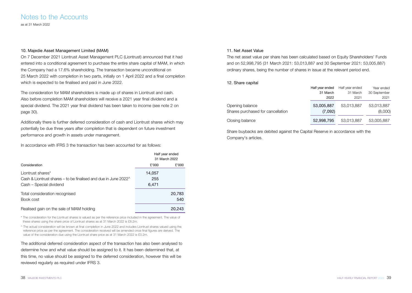### Notes to the Accounts as at 31 March 2022

#### 10. Majedie Asset Management Limited (MAM)

On 7 December 2021 Liontrust Asset Management PLC (Liontrust) announced that it had entered into a conditional agreement to purchase the entire share capital of MAM, in which the Company had a 17.6% shareholding. The transaction became unconditional on 25 March 2022 with completion in two parts, initially on 1 April 2022 and a final completion which is expected to be finalised and paid in June 2022.

The consideration for MAM shareholders is made up of shares in Liontrust and cash. Also before completion MAM shareholders will receive a 2021 year final dividend and a special dividend. The 2021 year final dividend has been taken to income (see note 2 on page 30).

Additionally there is further deferred consideration of cash and Liontrust shares which may potentially be due three years after completion that is dependent on future investment performance and growth in assets under management.

In accordance with IFRS 3 the transaction has been accounted for as follows:

|                                                                                                                         |                        | Half year ended<br>31 March 2022 |
|-------------------------------------------------------------------------------------------------------------------------|------------------------|----------------------------------|
| Consideration                                                                                                           | £'000                  | £'000                            |
| Liontrust shares*<br>Cash & Liontrust shares – to be finalised and due in June 2022 $\wedge$<br>Cash - Special dividend | 14,057<br>255<br>6,471 |                                  |
| Total consideration recognised<br>Book cost                                                                             |                        | 20,783<br>540                    |
| Realised gain on the sale of MAM holding                                                                                |                        | 20,243                           |

\* The consideration for the Liontrust shares is valued as per the reference price included in the agreement. The value of these shares using the share price of Liontrust shares as at 31 March 2022 is £8.2m.

^ The actual consideration will be known at final completion in June 2022 and includes Liontrust shares valued using the reference price as per the agreement. The consideration received will be amended once final figures are derived. The value of the consideration due using the Liontrust share price as at 31 March 2022 is £0.2m.

The additional deferred consideration aspect of the transaction has also been analysed to determine how and what value should be assigned to it. It has been determined that, at this time, no value should be assigned to the deferred consideration, however this will be reviewed regularly as required under IFRS 3.

#### 11. Net Asset Value

The net asset value per share has been calculated based on Equity Shareholders' Funds and on 52,998,795 (31 March 2021: 53,013,887 and 30 September 2021: 53,005,887) ordinary shares, being the number of shares in issue at the relevant period end.

#### 12. Share capital

|                                                      | Half vear ended       | Half year ended | Year ended            |
|------------------------------------------------------|-----------------------|-----------------|-----------------------|
|                                                      | 31 March              | 31 March        | 30 September          |
|                                                      | 2022                  | 2021            | 2021                  |
| Opening balance<br>Shares purchased for cancellation | 53,005,887<br>(7,092) | 53.013.887      | 53,013,887<br>(8,000) |
| Closing balance                                      | 52,998,795            | 53,013,887      | 53,005,887            |

Share buybacks are debited against the Capital Reserve in accordance with the Company's articles.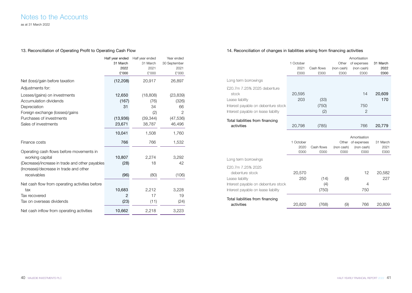as at 31 March 2022

### 13. Reconciliation of Operating Profit to Operating Cash Flow

|                                                 | Half year ended<br>31 March<br>2022<br>£'000 | Half year ended<br>31 March<br>2021<br>£'000 | Year ended<br>30 September<br>2021<br>£'000 |
|-------------------------------------------------|----------------------------------------------|----------------------------------------------|---------------------------------------------|
| Net (loss)/gain before taxation                 | (12, 208)                                    | 20,917                                       | 26,897                                      |
| Adjustments for:                                |                                              |                                              |                                             |
| Losses/(gains) on investments                   | 12,650                                       | (18,808)                                     | (23, 839)                                   |
| Accumulation dividends                          | (167)                                        | (76)                                         | (326)                                       |
| Depreciation                                    | 31                                           | 34                                           | 66                                          |
| Foreign exchange (losses)/gains                 |                                              | (2)                                          | $\overline{2}$                              |
| Purchases of investments                        | (13,936)                                     | (39, 344)                                    | (47, 536)                                   |
| Sales of investments                            | 23,671                                       | 38,787                                       | 46,496                                      |
|                                                 | 10,041                                       | 1,508                                        | 1,760                                       |
| Finance costs                                   | 766                                          | 766                                          | 1,532                                       |
| Operating cash flows before movements in        |                                              |                                              |                                             |
| working capital                                 | 10,807                                       | 2,274                                        | 3.292                                       |
| (Decrease)/increase in trade and other payables | (28)                                         | 18                                           | 42                                          |
| (Increase)/decrease in trade and other          |                                              |                                              |                                             |
| receivables                                     | (96)                                         | (80)                                         | (106)                                       |
| Net cash flow from operating activities before  |                                              |                                              |                                             |
| tax                                             | 10,683                                       | 2,212                                        | 3,228                                       |
| Tax recovered                                   | $\overline{2}$                               | 17                                           | 19                                          |
| Tax on overseas dividends                       | (23)                                         | (11)                                         | (24)                                        |
| Net cash inflow from operating activities       | 10,662                                       | 2,218                                        | 3,223                                       |

### 14. Reconciliation of changes in liabilities arising from financing activities

|                                      |              |                    |                    | Amortisation       |              |
|--------------------------------------|--------------|--------------------|--------------------|--------------------|--------------|
|                                      | 1 October    |                    | Other              | of expenses        | 31 March     |
|                                      | 2021         | Cash flows         | (non cash)         | (non cash)         | 2022         |
|                                      | £000         | £000               | £000               | £000               | £000         |
| Long term borrowings                 |              |                    |                    |                    |              |
| £20.7m 7.25% 2025 debenture<br>stock | 20,595       |                    |                    | 14                 | 20,609       |
| Lease liability                      | 203          | (33)               |                    |                    | 170          |
| Interest payable on debenture stock  |              | (750)              |                    | 750                |              |
| Interest payable on lease liability  |              | (2)                |                    | $\overline{2}$     |              |
| Total liabilities from financing     |              |                    |                    |                    |              |
| activities                           | 20,798       | (785)              |                    | 766                | 20,779       |
|                                      |              |                    |                    |                    |              |
|                                      |              |                    |                    | Amortisation       |              |
|                                      | 1 October    |                    |                    | Other of expenses  | 31 March     |
|                                      | 2020<br>£000 | Cash flows<br>£000 | (non cash)<br>£000 | (non cash)<br>£000 | 2021<br>£000 |
|                                      |              |                    |                    |                    |              |
| Long term borrowings                 |              |                    |                    |                    |              |
| £20.7m 7.25% 2025<br>debenture stock | 20,570       |                    |                    | 12                 | 20,582       |
| Lease liability                      | 250          | (14)               | (9)                |                    | 227          |
| Interest payable on debenture stock  |              | (4)                |                    | 4                  |              |
|                                      |              |                    |                    |                    |              |
| Interest payable on lease liability  |              | (750)              |                    | 750                |              |
| Total liabilities from financing     |              |                    |                    |                    |              |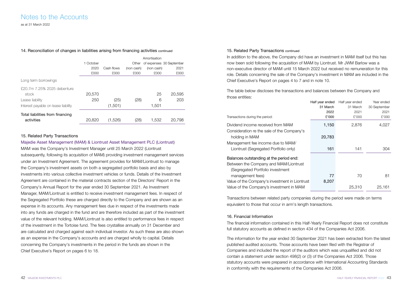as at 31 March 2022

#### 14. Reconciliation of changes in liabilities arising from financing activities continued

|                                     |           |            |            | Amortisation |                          |
|-------------------------------------|-----------|------------|------------|--------------|--------------------------|
|                                     | 1 October |            | Other      |              | of expenses 30 September |
|                                     | 2020      | Cash flows | (non cash) | (non cash)   | 2021                     |
|                                     | £000      | £000       | £000       | £000         | £000                     |
| Long term borrowings                |           |            |            |              |                          |
| £20.7m 7.25% 2025 debenture         |           |            |            |              |                          |
| stock                               | 20,570    |            |            | 25           | 20,595                   |
| Lease liability                     | 250       | (25)       | (28)       | 6            | 203                      |
| Interest payable on lease liability |           | (1,501)    |            | 1.501        |                          |
| Total liabilities from financing    |           |            |            |              |                          |
| activities                          | 20,820    | (1,526)    | (28)       | 1,532        | 20.798                   |

#### 15. Related Party Transactions

#### Majedie Asset Management (MAM) & Liontrust Asset Management PLC (Liontrust)

MAM was the Company's Investment Manager until 25 March 2022 (Liontrust subsequently, following its acquisition of MAM) providing investment management services under an Investment Agreement. The agreement provides for MAM/Liontrust to manage the Company's investment assets on both a segregated portfolio basis and also by investments into various collective investment vehicles or funds. Details of the Investment Agreement are contained in the material contracts section of the Directors' Report in the Company's Annual Report for the year ended 30 September 2021. As Investment Manager, MAM/Liontrust is entitled to receive investment management fees. In respect of the Segregated Portfolio these are charged directly to the Company and are shown as an expense in its accounts. Any management fees due in respect of the investments made into any funds are charged in the fund and are therefore included as part of the investment value of the relevant holding. MAM/Liontrust is also entitled to performance fees in respect of the investment in the Tortoise fund. The fees crystallise annually on 31 December and are calculated and charged against each individual investor. As such these are also shown as an expense in the Company's accounts and are charged wholly to capital. Details concerning the Company's investments in the period in the funds are shown in the Chief Executive's Report on pages 6 to 18.

#### 15. Related Party Transactions continued

In addition to the above, the Company did have an investment in MAM itself but this has now been sold following the acquisition of MAM by Liontrust. Mr JWM Barlow was a non-executive director of MAM until 15 March 2022 but received no remuneration for this role. Details concerning the sale of the Company's investment in MAM are included in the Chief Executive's Report on pages 4 to 7 and in note 10.

The table below discloses the transactions and balances between the Company and those entities: Year ended

| Half year ended | Half year ended                                | Year ended   |
|-----------------|------------------------------------------------|--------------|
| 31 March        | 31 March                                       | 30 September |
| 2022            | 2021                                           | 2021         |
| £'000           | £'000                                          | £'000        |
| 1,150           | 2,876                                          | 4,027        |
| 20,783          |                                                |              |
|                 |                                                |              |
| 161             | 141                                            | 304          |
|                 |                                                |              |
|                 |                                                |              |
|                 |                                                |              |
| 77              | 70                                             | 81           |
| 8,207           |                                                |              |
|                 | 25,310                                         | 25.161       |
|                 | Value of the Company's investment in Liontrust |              |

Transactions between related party companies during the period were made on terms equivalent to those that occur in arm's length transactions.

#### 16. Financial Information

The financial information contained in this Half-Yearly Financial Report does not constitute full statutory accounts as defined in section 434 of the Companies Act 2006.

The information for the year ended 30 September 2021 has been extracted from the latest published audited accounts. Those accounts have been filed with the Registrar of Companies and included the report of the auditors which was unqualified and did not contain a statement under section 498(2) or (3) of the Companies Act 2006. Those statutory accounts were prepared in accordance with International Accounting Standards in conformity with the requirements of the Companies Act 2006.